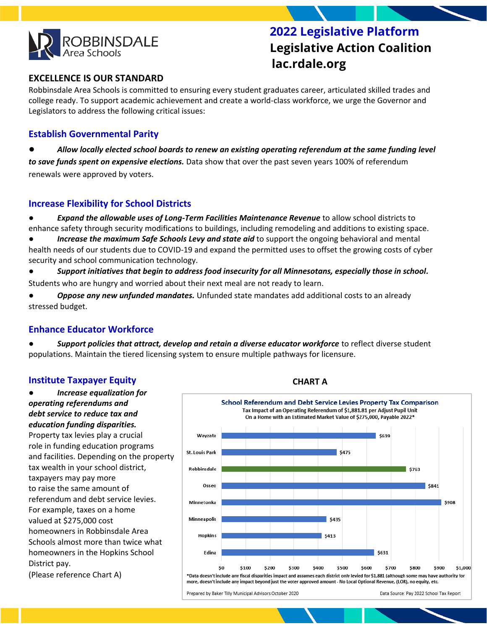

 **2022 Legislative Platform Legislative Action Coalition lac.rdale.org**

# **EXCELLENCE IS OUR STANDARD**

Robbinsdale Area Schools is committed to ensuring every student graduates career, articulated skilled trades and college ready. To support academic achievement and create a world-class workforce, we urge the Governor and Legislators to address the following critical issues:

## **Establish Governmental Parity**

Allow locally elected school boards to renew an existing operating referendum at the same funding level *to save funds spent on expensive elections.* Data show that over the past seven years 100% of referendum renewals were approved by voters.

### **Increase Flexibility for School Districts**

● *Expand the allowable uses of Long-Term Facilities Maintenance Revenue* to allow school districts to enhance safety through security modifications to buildings, including remodeling and additions to existing space.

● *Increase the maximum Safe Schools Levy and state aid* to support the ongoing behavioral and mental health needs of our students due to COVID-19 and expand the permitted uses to offset the growing costs of cyber security and school communication technology.

Support initiatives that begin to address food insecurity for all Minnesotans, especially those in school. Students who are hungry and worried about their next meal are not ready to learn.

**Oppose any new unfunded mandates.** Unfunded state mandates add additional costs to an already stressed budget.

### **Enhance Educator Workforce**

Support policies that attract, develop and retain a diverse educator workforce to reflect diverse student populations. Maintain the tiered licensing system to ensure multiple pathways for licensure.

#### **Institute Taxpayer Equity**

● *Increase equalization for operating referendums and debt service to reduce tax and education funding disparities.*  Property tax levies play a crucial role in funding education programs and facilities. Depending on the property tax wealth in your school district, taxpayers may pay more to raise the same amount of referendum and debt service levies. For example, taxes on a home valued at \$275,000 cost homeowners in Robbinsdale Area Schools almost more than twice what homeowners in the Hopkins School District pay. (Please reference Chart A)



**CHART A**

Prepared by Baker Tilly Municipal Advisors October 2020